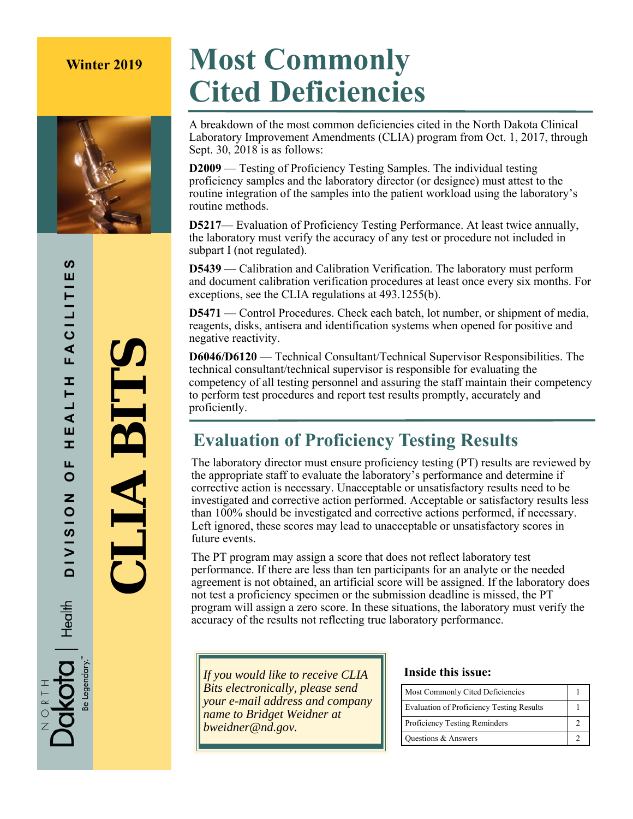

# **Winter 2019 Most Commonly Cited Deficiencies**

A breakdown of the most common deficiencies cited in the North Dakota Clinical Laboratory Improvement Amendments (CLIA) program from Oct. 1, 2017, through Sept. 30, 2018 is as follows:

**D2009** — Testing of Proficiency Testing Samples. The individual testing proficiency samples and the laboratory director (or designee) must attest to the routine integration of the samples into the patient workload using the laboratory's routine methods.

**D5217**— Evaluation of Proficiency Testing Performance. At least twice annually, the laboratory must verify the accuracy of any test or procedure not included in subpart I (not regulated).

**D5439** — Calibration and Calibration Verification. The laboratory must perform and document calibration verification procedures at least once every six months. For exceptions, see the CLIA regulations at 493.1255(b).

**D5471** — Control Procedures. Check each batch, lot number, or shipment of media, reagents, disks, antisera and identification systems when opened for positive and negative reactivity.

**D6046/D6120** — Technical Consultant/Technical Supervisor Responsibilities. The technical consultant/technical supervisor is responsible for evaluating the competency of all testing personnel and assuring the staff maintain their competency to perform test procedures and report test results promptly, accurately and proficiently.

## **Evaluation of Proficiency Testing Results**

The laboratory director must ensure proficiency testing (PT) results are reviewed by the appropriate staff to evaluate the laboratory's performance and determine if corrective action is necessary. Unacceptable or unsatisfactory results need to be investigated and corrective action performed. Acceptable or satisfactory results less than 100% should be investigated and corrective actions performed, if necessary. Left ignored, these scores may lead to unacceptable or unsatisfactory scores in future events.

The PT program may assign a score that does not reflect laboratory test performance. If there are less than ten participants for an analyte or the needed agreement is not obtained, an artificial score will be assigned. If the laboratory does not test a proficiency specimen or the submission deadline is missed, the PT program will assign a zero score. In these situations, the laboratory must verify the accuracy of the results not reflecting true laboratory performance.

*If you would like to receive CLIA Bits electronically, please send your e-mail address and company name to Bridget Weidner at bweidner@nd.gov.* 

### **Inside this issue:**

| Most Commonly Cited Deficiencies                 |  |
|--------------------------------------------------|--|
| <b>Evaluation of Proficiency Testing Results</b> |  |
| <b>Proficiency Testing Reminders</b>             |  |
| Questions & Answers                              |  |

 **CLIA BITS** 

**TIA BIT**